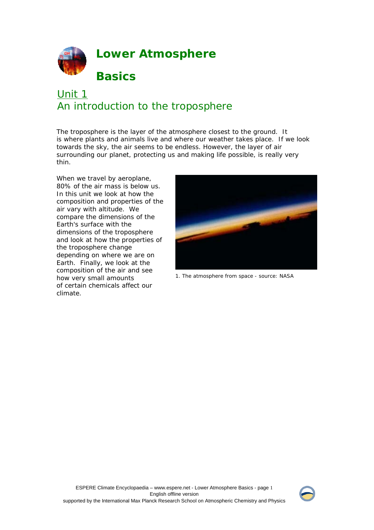

# Unit 1 An introduction to the troposphere

The troposphere is the layer of the atmosphere closest to the ground. It is where plants and animals live and where our weather takes place. If we look towards the sky, the air seems to be endless. However, the layer of air surrounding our planet, protecting us and making life possible, is really very thin.

When we travel by aeroplane, 80% of the air mass is below us. In this unit we look at how the composition and properties of the air vary with altitude. We compare the dimensions of the Earth's surface with the dimensions of the troposphere and look at how the properties of the troposphere change depending on where we are on Earth. Finally, we look at the composition of the air and see how very small amounts of certain chemicals affect our climate.



1. The atmosphere from space - source: NASA

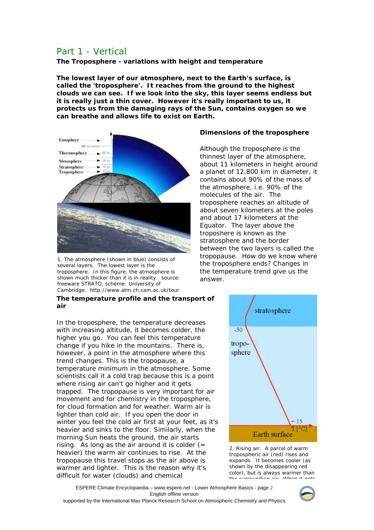# Part 1 - Vertical

**The Troposphere - variations with height and temperature** 

**The lowest layer of our atmosphere, next to the Earth's surface, is called the 'troposphere'. It reaches from the ground to the highest clouds we can see. If we look into the sky, this layer seems endless but it is really just a thin cover. However it's really important to us, it protects us from the damaging rays of the Sun, contains oxygen so we can breathe and allows life to exist on Earth.** 



1. The atmosphere (shown in blue) consists of several layers. The lowest layer is the troposphere. In this figure, the atmosphere is shown much thicker than it is in reality. source: freeware STRATO, scheme: University of Cambridge. http://www.atm.ch.cam.ac.uk/tour

#### **The temperature profile and the transport of air**

In the troposphere, the temperature decreases with increasing altitude, it becomes colder, the higher you go. You can feel this temperature change if you hike in the mountains. There is, however, a point in the atmosphere where this trend changes. This is the tropopause, a temperature minimum in the atmosphere. Some scientists call it a cold trap because this is a point where rising air can't go higher and it gets trapped. The tropopause is very important for air movement and for chemistry in the troposphere, for cloud formation and for weather. Warm air is lighter than cold air. If you open the door in winter you feel the cold air first at your feet, as it's heavier and sinks to the floor. Similarly, when the morning Sun heats the ground, the air starts rising. As long as the air around it is colder  $(=$ heavier) the warm air continues to rise. At the tropopause this travel stops as the air above is warmer and lighter. This is the reason why it's difficult for water (clouds) and chemical

## **Dimensions of the troposphere**

Although the troposphere is the thinnest layer of the atmosphere, about 11 kilometers in height around a planet of 12,800 km in diameter, it contains about 90% of the mass of the atmosphere, i.e. 90% of the molecules of the air. The troposphere reaches an altitude of about seven kilometers at the poles and about 17 kilometers at the Equator. The layer above the troposhere is known as the stratosphere and the border between the two layers is called the tropopause. How do we know where the troposphere ends? Changes in the temperature trend give us the answer.



2. Rising air. A parcel of warm tropospheric air (red) rises and expands. It becomes cooler (as shown by the disappearing red color), but is always warmer than<br>the surrounding air. When it gets  $t$  the surrounding air  $\overline{u}$ 

ESPERE Climate Encyclopaedia – www.espere.net - Lower Atmosphere Basics - page 2 English offline version



supported by the International Max Planck Research School on Atmospheric Chemistry and Physics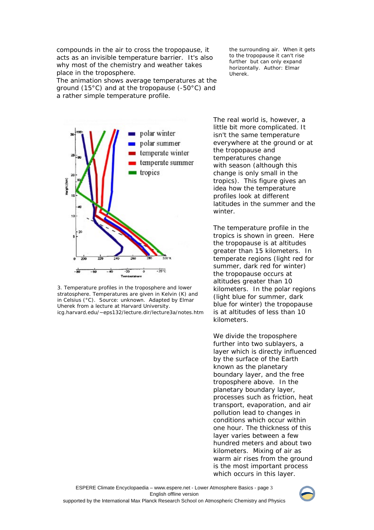compounds in the air to cross the tropopause, it acts as an invisible temperature barrier. It's also why most of the chemistry and weather takes place in the troposphere.

The animation shows average temperatures at the ground (15°C) and at the tropopause (-50°C) and a rather simple temperature profile.



3. Temperature profiles in the troposphere and lower stratosphere. Temperatures are given in Kelvin (K) and in Celsius (°C). Source: unknown. Adapted by Elmar Uherek from a lecture at Harvard University. icg.harvard.edu/~eps132/lecture.dir/lecture3a/notes.htm

the surrounding air. When it gets to the tropopause it can't rise further but can only expand horizontally. Author: Elmar Uherek.

The real world is, however, a little bit more complicated. It isn't the same temperature everywhere at the ground or at the tropopause and temperatures change with season (although this change is only small in the tropics). This figure gives an idea how the temperature profiles look at different latitudes in the summer and the winter.

The temperature profile in the tropics is shown in green. Here the tropopause is at altitudes greater than 15 kilometers. In temperate regions (light red for summer, dark red for winter) the tropopause occurs at altitudes greater than 10 kilometers. In the polar regions (light blue for summer, dark blue for winter) the tropopause is at altitudes of less than 10 kilometers.

We divide the troposphere further into two sublayers, a layer which is directly influenced by the surface of the Earth known as the planetary boundary layer, and the free troposphere above. In the planetary boundary layer, processes such as friction, heat transport, evaporation, and air pollution lead to changes in conditions which occur within one hour. The thickness of this layer varies between a few hundred meters and about two kilometers. Mixing of air as warm air rises from the ground is the most important process which occurs in this layer.

ESPERE Climate Encyclopaedia – www.espere.net - Lower Atmosphere Basics - page 3 English offline version supported by the International Max Planck Research School on Atmospheric Chemistry and Physics

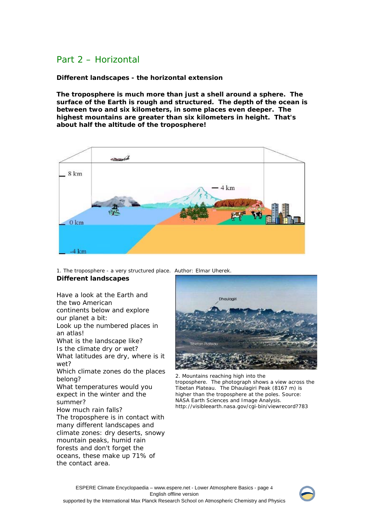# Part 2 – Horizontal

**Different landscapes - the horizontal extension** 

**The troposphere is much more than just a shell around a sphere. The surface of the Earth is rough and structured. The depth of the ocean is between two and six kilometers, in some places even deeper. The highest mountains are greater than six kilometers in height. That's about half the altitude of the troposphere!**



1. The troposphere - a very structured place. Author: Elmar Uherek. **Different landscapes**

### Have a look at the Earth and the two American continents below and explore our planet a bit: Look up the numbered places in an atlas! What is the landscape like? Is the climate dry or wet? What latitudes are dry, where is it wet? Which climate zones do the places belong? What temperatures would you expect in the winter and the summer? How much rain falls? The troposphere is in contact with many different landscapes and climate zones: dry deserts, snowy mountain peaks, humid rain forests and don't forget the oceans, these make up 71% of the contact area.



2. Mountains reaching high into the troposphere. The photograph shows a view across the Tibetan Plateau. The Dhaulagiri Peak (8167 m) is higher than the troposphere at the poles. Source: NASA Earth Sciences and Image Analysis. http://visibleearth.nasa.gov/cgi-bin/viewrecord?783

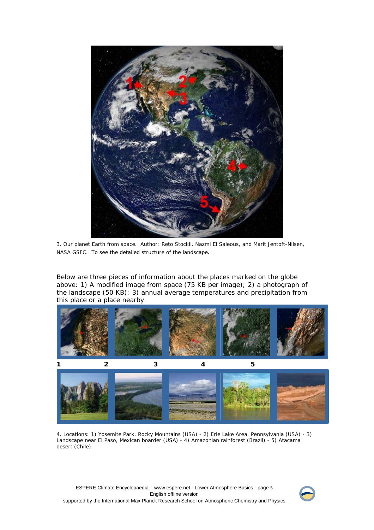

3. Our planet Earth from space. Author: Reto Stockli, Nazmi El Saleous, and Marit Jentoft-Nilsen, NASA GSFC. To see the detailed structure of the landscape.

Below are three pieces of information about the places marked on the globe above: 1) A modified image from space (75 KB per image); 2) a photograph of the landscape (50 KB); 3) annual average temperatures and precipitation from this place or a place nearby.



4. Locations: 1) Yosemite Park, Rocky Mountains (USA) - 2) Erie Lake Area, Pennsylvania (USA) - 3) Landscape near El Paso, Mexican boarder (USA) - 4) Amazonian rainforest (Brazil) - 5) Atacama desert (Chile).

ESPERE Climate Encyclopaedia – www.espere.net - Lower Atmosphere Basics - page 5 English offline version supported by the International Max Planck Research School on Atmospheric Chemistry and Physics

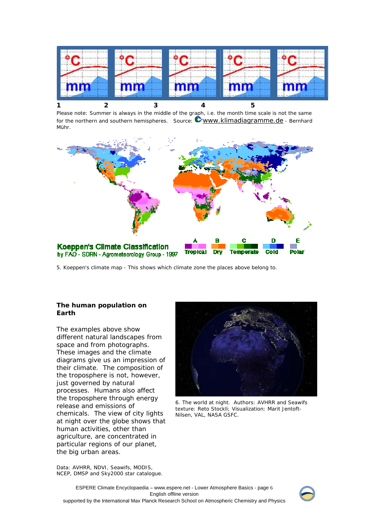

Please note: Summer is always in the middle of the graph, i.e. the month time scale is not the same for the northern and southern hemispheres. Source: **WWW.klimadiagramme.de** - Bernhard Mühr.



5. Koeppen's climate map - This shows which climate zone the places above belong to.

### **The human population on Earth**

The examples above show different natural landscapes from space and from photographs. These images and the climate diagrams give us an impression of their climate. The composition of the troposphere is not, however, just governed by natural processes. Humans also affect the troposphere through energy release and emissions of chemicals. The view of city lights at night over the globe shows that human activities, other than agriculture, are concentrated in particular regions of our planet, the big urban areas.



6. The world at night. Authors: AVHRR and Seawifs texture: Reto Stockli; Visualization: Marit Jentoft-Nilsen, VAL, NASA GSFC.

Data: AVHRR, NDVI, Seawifs, MODIS, NCEP, DMSP and Sky2000 star catalogue.

ESPERE Climate Encyclopaedia – www.espere.net - Lower Atmosphere Basics - page 6 English offline version supported by the International Max Planck Research School on Atmospheric Chemistry and Physics

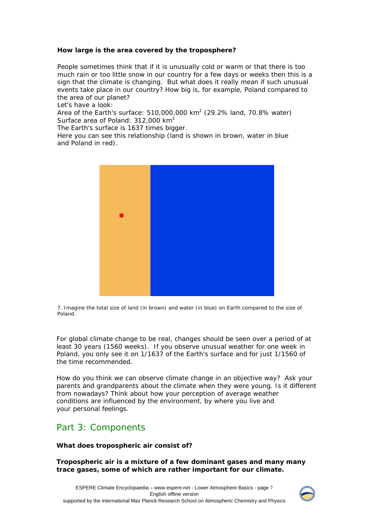## **How large is the area covered by the troposphere?**

People sometimes think that if it is unusually cold or warm or that there is too much rain or too little snow in our country for a few days or weeks then this is a sign that the climate is changing. But what does it really mean if such unusual events take place in our country? How big is, for example, Poland compared to the area of our planet?

Let's have a look:

Area of the Earth's surface: 510,000,000 km<sup>2</sup> (29.2% land, 70.8% water) Surface area of Poland: 312,000 km<sup>2</sup>

The Earth's surface is 1637 times bigger.

Here you can see this relationship (land is shown in brown, water in blue and Poland in red).



7. Imagine the total size of land (in brown) and water (in blue) on Earth compared to the size of Poland.

For global climate change to be real, changes should be seen over a period of at least 30 years (1560 weeks). If you observe unusual weather for one week in Poland, you only see it on 1/1637 of the Earth's surface and for just 1/1560 of the time recommended.

How do you think we can observe climate change in an objective way? Ask your parents and grandparents about the climate when they were young. Is it different from nowadays? Think about how your perception of average weather conditions are influenced by the environment, by where you live and your personal feelings.

# Part 3: Components

### **What does tropospheric air consist of?**

**Tropospheric air is a mixture of a few dominant gases and many many trace gases, some of which are rather important for our climate.**

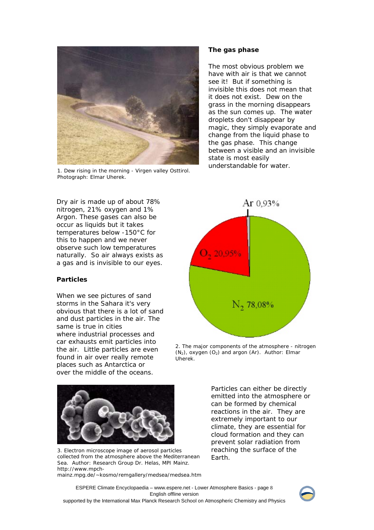

1. Dew rising in the morning - Virgen valley Osttirol. Photograph: Elmar Uherek.

#### **The gas phase**

The most obvious problem we have with air is that we cannot see it! But if something is invisible this does not mean that it does not exist. Dew on the grass in the morning disappears as the sun comes up. The water droplets don't disappear by magic, they simply evaporate and change from the liquid phase to the gas phase. This change between a visible and an invisible state is most easily understandable for water.

Dry air is made up of about 78% nitrogen, 21% oxygen and 1% Argon. These gases can also be occur as liquids but it takes temperatures below -150°C for this to happen and we never observe such low temperatures naturally. So air always exists as a gas and is invisible to our eyes.

### **Particles**

When we see pictures of sand storms in the Sahara it's very obvious that there is a lot of sand and dust particles in the air. The same is true in cities where industrial processes and car exhausts emit particles into the air. Little particles are even found in air over really remote places such as Antarctica or over the middle of the oceans.



2. The major components of the atmosphere - nitrogen  $(N_2)$ , oxygen  $(O_2)$  and argon  $(Ar)$ . Author: Elmar Uherek.



3. Electron microscope image of aerosol particles collected from the atmosphere above the Mediterranean Sea. Author: Research Group Dr. Helas, MPI Mainz. http://www.mpch-

mainz.mpg.de/~kosmo/remgallery/medsea/medsea.htm

Particles can either be directly emitted into the atmosphere or can be formed by chemical reactions in the air. They are extremely important to our climate, they are essential for cloud formation and they can prevent solar radiation from reaching the surface of the Earth.

ESPERE Climate Encyclopaedia – www.espere.net - Lower Atmosphere Basics - page 8 English offline version supported by the International Max Planck Research School on Atmospheric Chemistry and Physics